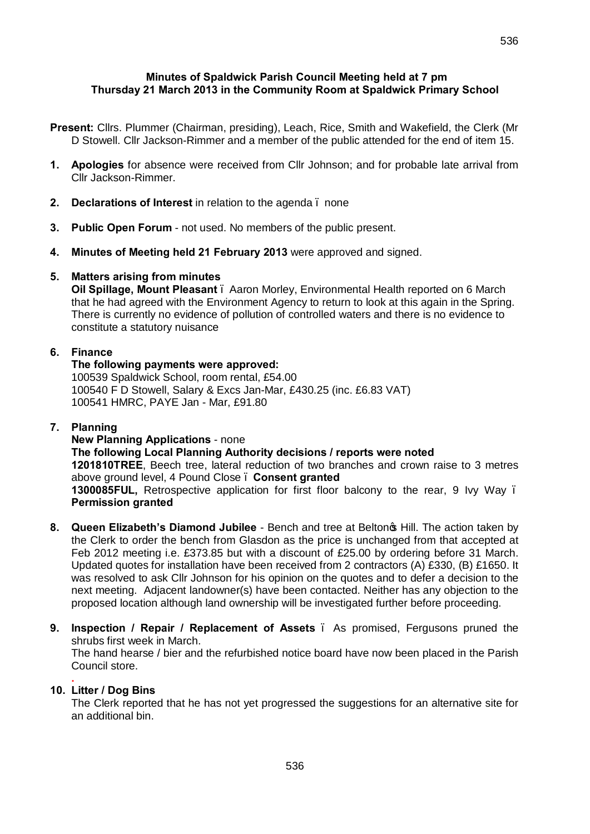- **Present:** Cllrs. Plummer (Chairman, presiding), Leach, Rice, Smith and Wakefield, the Clerk (Mr D Stowell. Cllr Jackson-Rimmer and a member of the public attended for the end of item 15.
- **1. Apologies** for absence were received from Cllr Johnson; and for probable late arrival from Cllr Jackson-Rimmer.
- **2. Declarations of Interest** in relation to the agenda none
- **3. Public Open Forum** not used. No members of the public present.
- **4. Minutes of Meeting held 21 February 2013** were approved and signed.

# **5. Matters arising from minutes**

**Oil Spillage, Mount Pleasant** – Aaron Morley, Environmental Health reported on 6 March that he had agreed with the Environment Agency to return to look at this again in the Spring. There is currently no evidence of pollution of controlled waters and there is no evidence to constitute a statutory nuisance

# **6. Finance**

## **The following payments were approved:**

100539 Spaldwick School, room rental, £54.00 100540 F D Stowell, Salary & Excs Jan-Mar, £430.25 (inc. £6.83 VAT) 100541 HMRC, PAYE Jan - Mar, £91.80

## **7. Planning**

## **New Planning Applications** - none **The following Local Planning Authority decisions / reports were noted 1201810TREE**, Beech tree, lateral reduction of two branches and crown raise to 3 metres above ground level, 4 Pound Close – **Consent granted 1300085FUL,** Retrospective application for first floor balcony to the rear, 9 Ivy Way – **Permission granted**

- **8. Queen Elizabeth's Diamond Jubilee**  Bench and tree at Belton's Hill. The action taken by the Clerk to order the bench from Glasdon as the price is unchanged from that accepted at Feb 2012 meeting i.e. £373.85 but with a discount of £25.00 by ordering before 31 March. Updated quotes for installation have been received from 2 contractors (A) £330, (B) £1650. It was resolved to ask Cllr Johnson for his opinion on the quotes and to defer a decision to the next meeting. Adjacent landowner(s) have been contacted. Neither has any objection to the proposed location although land ownership will be investigated further before proceeding.
- **9. Inspection / Repair / Replacement of Assets** As promised, Fergusons pruned the shrubs first week in March. The hand hearse / bier and the refurbished notice board have now been placed in the Parish Council store.

#### **. 10. Litter / Dog Bins**

The Clerk reported that he has not yet progressed the suggestions for an alternative site for an additional bin.

536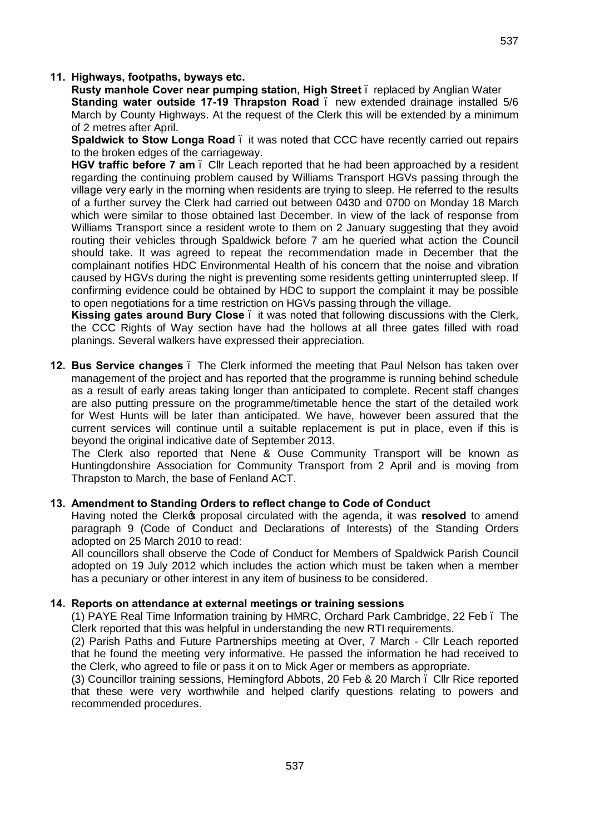### **11. Highways, footpaths, byways etc.**

**Rusty manhole Cover near pumping station, High Street** – replaced by Anglian Water **Standing water outside 17-19 Thrapston Road** – new extended drainage installed 5/6 March by County Highways. At the request of the Clerk this will be extended by a minimum of 2 metres after April.

**Spaldwick to Stow Longa Road** – it was noted that CCC have recently carried out repairs to the broken edges of the carriageway.

**HGV traffic before 7 am** – Cllr Leach reported that he had been approached by a resident regarding the continuing problem caused by Williams Transport HGVs passing through the village very early in the morning when residents are trying to sleep. He referred to the results of a further survey the Clerk had carried out between 0430 and 0700 on Monday 18 March which were similar to those obtained last December. In view of the lack of response from Williams Transport since a resident wrote to them on 2 January suggesting that they avoid routing their vehicles through Spaldwick before 7 am he queried what action the Council should take. It was agreed to repeat the recommendation made in December that the complainant notifies HDC Environmental Health of his concern that the noise and vibration caused by HGVs during the night is preventing some residents getting uninterrupted sleep. If confirming evidence could be obtained by HDC to support the complaint it may be possible to open negotiations for a time restriction on HGVs passing through the village.

**Kissing gates around Bury Close** – it was noted that following discussions with the Clerk, the CCC Rights of Way section have had the hollows at all three gates filled with road planings. Several walkers have expressed their appreciation.

**12. Bus Service changes** – The Clerk informed the meeting that Paul Nelson has taken over management of the project and has reported that the programme is running behind schedule as a result of early areas taking longer than anticipated to complete. Recent staff changes are also putting pressure on the programme/timetable hence the start of the detailed work for West Hunts will be later than anticipated. We have, however been assured that the current services will continue until a suitable replacement is put in place, even if this is beyond the original indicative date of September 2013.

The Clerk also reported that Nene & Ouse Community Transport will be known as Huntingdonshire Association for Community Transport from 2 April and is moving from Thrapston to March, the base of Fenland ACT.

#### **13. Amendment to Standing Orders to reflect change to Code of Conduct**

Having noted the Clerk<sub><sup>®</sup></sub> proposal circulated with the agenda, it was resolved to amend paragraph 9 (Code of Conduct and Declarations of Interests) of the Standing Orders adopted on 25 March 2010 to read:

All councillors shall observe the Code of Conduct for Members of Spaldwick Parish Council adopted on 19 July 2012 which includes the action which must be taken when a member has a pecuniary or other interest in any item of business to be considered.

#### **14. Reports on attendance at external meetings or training sessions**

(1) PAYE Real Time Information training by HMRC, Orchard Park Cambridge, 22 Feb – The Clerk reported that this was helpful in understanding the new RTI requirements.

(2) Parish Paths and Future Partnerships meeting at Over, 7 March - Cllr Leach reported that he found the meeting very informative. He passed the information he had received to the Clerk, who agreed to file or pass it on to Mick Ager or members as appropriate.

(3) Councillor training sessions, Hemingford Abbots, 20 Feb & 20 March – Cllr Rice reported that these were very worthwhile and helped clarify questions relating to powers and recommended procedures.